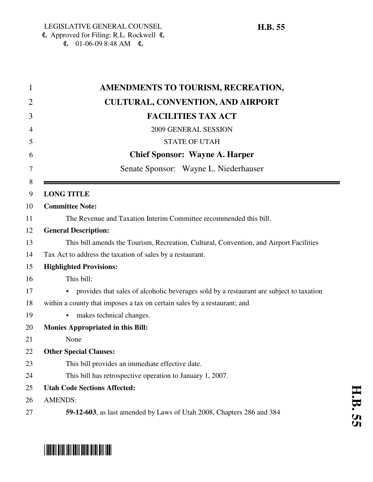| 1              | AMENDMENTS TO TOURISM, RECREATION,                                                            |
|----------------|-----------------------------------------------------------------------------------------------|
| $\overline{2}$ | <b>CULTURAL, CONVENTION, AND AIRPORT</b>                                                      |
| 3              | <b>FACILITIES TAX ACT</b>                                                                     |
| 4              | 2009 GENERAL SESSION                                                                          |
| 5              | <b>STATE OF UTAH</b>                                                                          |
| 6              | <b>Chief Sponsor: Wayne A. Harper</b>                                                         |
| 7              | Senate Sponsor: Wayne L. Niederhauser                                                         |
| 8<br>9         | <b>LONG TITLE</b>                                                                             |
| 10             | <b>Committee Note:</b>                                                                        |
| 11             | The Revenue and Taxation Interim Committee recommended this bill.                             |
| 12             | <b>General Description:</b>                                                                   |
| 13             | This bill amends the Tourism, Recreation, Cultural, Convention, and Airport Facilities        |
| 14             | Tax Act to address the taxation of sales by a restaurant.                                     |
| 15             | <b>Highlighted Provisions:</b>                                                                |
| 16             | This bill:                                                                                    |
| 17             | provides that sales of alcoholic beverages sold by a restaurant are subject to taxation<br>Þ. |
| 18             | within a county that imposes a tax on certain sales by a restaurant; and                      |
| 19             | makes technical changes.<br>▶                                                                 |
| 20             | <b>Monies Appropriated in this Bill:</b>                                                      |
| 21             | None                                                                                          |
| 22             | <b>Other Special Clauses:</b>                                                                 |
| 23             | This bill provides an immediate effective date.                                               |
| 24             | This bill has retrospective operation to January 1, 2007.                                     |
| 25             | <b>Utah Code Sections Affected:</b>                                                           |
| 26             | <b>AMENDS:</b>                                                                                |
| 27             | 59-12-603, as last amended by Laws of Utah 2008, Chapters 286 and 384                         |

 $\sim$ 

# \*HB0055\*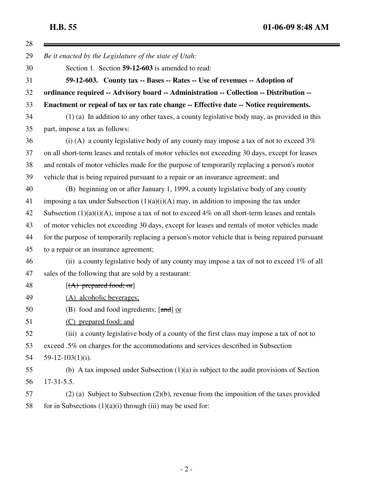**H.B. 55 01-06-09 8:48 AM**

 $\blacksquare$ 

| 28 |                                                                                                   |
|----|---------------------------------------------------------------------------------------------------|
| 29 | Be it enacted by the Legislature of the state of Utah:                                            |
| 30 | Section 1. Section 59-12-603 is amended to read:                                                  |
| 31 | 59-12-603. County tax -- Bases -- Rates -- Use of revenues -- Adoption of                         |
| 32 | ordinance required -- Advisory board -- Administration -- Collection -- Distribution --           |
| 33 | Enactment or repeal of tax or tax rate change -- Effective date -- Notice requirements.           |
| 34 | (1) (a) In addition to any other taxes, a county legislative body may, as provided in this        |
| 35 | part, impose a tax as follows:                                                                    |
| 36 | (i) (A) a county legislative body of any county may impose a tax of not to exceed $3\%$           |
| 37 | on all short-term leases and rentals of motor vehicles not exceeding 30 days, except for leases   |
| 38 | and rentals of motor vehicles made for the purpose of temporarily replacing a person's motor      |
| 39 | vehicle that is being repaired pursuant to a repair or an insurance agreement; and                |
| 40 | (B) beginning on or after January 1, 1999, a county legislative body of any county                |
| 41 | imposing a tax under Subsection $(1)(a)(i)(A)$ may, in addition to imposing the tax under         |
| 42 | Subsection $(1)(a)(i)(A)$ , impose a tax of not to exceed 4% on all short-term leases and rentals |
| 43 | of motor vehicles not exceeding 30 days, except for leases and rentals of motor vehicles made     |
| 44 | for the purpose of temporarily replacing a person's motor vehicle that is being repaired pursuant |
| 45 | to a repair or an insurance agreement;                                                            |
| 46 | (ii) a county legislative body of any county may impose a tax of not to exceed $1\%$ of all       |
| 47 | sales of the following that are sold by a restaurant:                                             |
| 48 | $[(A)$ prepared food; or]                                                                         |
| 49 | (A) alcoholic beverages;                                                                          |
| 50 | (B) food and food ingredients; [and] or                                                           |
| 51 | (C) prepared food; and                                                                            |
| 52 | (iii) a county legislative body of a county of the first class may impose a tax of not to         |
| 53 | exceed .5% on charges for the accommodations and services described in Subsection                 |
| 54 | $59-12-103(1)(i)$ .                                                                               |
| 55 | (b) A tax imposed under Subsection $(1)(a)$ is subject to the audit provisions of Section         |
| 56 | $17-31-5.5$ .                                                                                     |
| 57 | $(2)$ (a) Subject to Subsection $(2)(b)$ , revenue from the imposition of the taxes provided      |
| 58 | for in Subsections $(1)(a)(i)$ through $(iii)$ may be used for:                                   |
|    |                                                                                                   |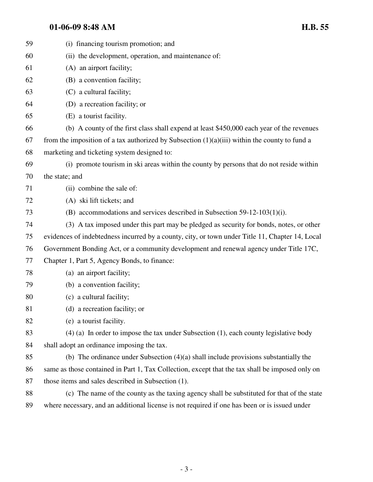## **01-06-09 8:48 AM H.B. 55**

| 59 | (i) financing tourism promotion; and                                                            |
|----|-------------------------------------------------------------------------------------------------|
| 60 | (ii) the development, operation, and maintenance of:                                            |
| 61 | (A) an airport facility;                                                                        |
| 62 | (B) a convention facility;                                                                      |
| 63 | (C) a cultural facility;                                                                        |
| 64 | (D) a recreation facility; or                                                                   |
| 65 | (E) a tourist facility.                                                                         |
| 66 | (b) A county of the first class shall expend at least \$450,000 each year of the revenues       |
| 67 | from the imposition of a tax authorized by Subsection $(1)(a)(iii)$ within the county to fund a |
| 68 | marketing and ticketing system designed to:                                                     |
| 69 | (i) promote tourism in ski areas within the county by persons that do not reside within         |
| 70 | the state; and                                                                                  |
| 71 | (ii) combine the sale of:                                                                       |
| 72 | (A) ski lift tickets; and                                                                       |
| 73 | (B) accommodations and services described in Subsection 59-12-103(1)(i).                        |
| 74 | (3) A tax imposed under this part may be pledged as security for bonds, notes, or other         |
| 75 | evidences of indebtedness incurred by a county, city, or town under Title 11, Chapter 14, Local |
| 76 | Government Bonding Act, or a community development and renewal agency under Title 17C,          |
| 77 | Chapter 1, Part 5, Agency Bonds, to finance:                                                    |
| 78 | (a) an airport facility;                                                                        |
| 79 | (b) a convention facility;                                                                      |
| 80 | (c) a cultural facility;                                                                        |
| 81 | (d) a recreation facility; or                                                                   |
| 82 | (e) a tourist facility.                                                                         |
| 83 | $(4)$ (a) In order to impose the tax under Subsection (1), each county legislative body         |
| 84 | shall adopt an ordinance imposing the tax.                                                      |
| 85 | (b) The ordinance under Subsection $(4)(a)$ shall include provisions substantially the          |
| 86 | same as those contained in Part 1, Tax Collection, except that the tax shall be imposed only on |
| 87 | those items and sales described in Subsection (1).                                              |
| 88 | (c) The name of the county as the taxing agency shall be substituted for that of the state      |
| 89 | where necessary, and an additional license is not required if one has been or is issued under   |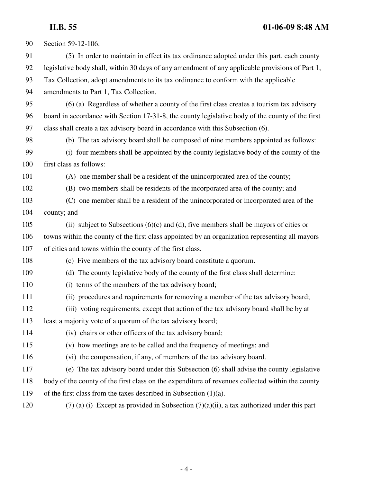## **H.B. 55 01-06-09 8:48 AM**

| 90  | Section 59-12-106.                                                                               |
|-----|--------------------------------------------------------------------------------------------------|
| 91  | (5) In order to maintain in effect its tax ordinance adopted under this part, each county        |
| 92  | legislative body shall, within 30 days of any amendment of any applicable provisions of Part 1,  |
| 93  | Tax Collection, adopt amendments to its tax ordinance to conform with the applicable             |
| 94  | amendments to Part 1, Tax Collection.                                                            |
| 95  | (6) (a) Regardless of whether a county of the first class creates a tourism tax advisory         |
| 96  | board in accordance with Section 17-31-8, the county legislative body of the county of the first |
| 97  | class shall create a tax advisory board in accordance with this Subsection (6).                  |
| 98  | (b) The tax advisory board shall be composed of nine members appointed as follows:               |
| 99  | (i) four members shall be appointed by the county legislative body of the county of the          |
| 100 | first class as follows:                                                                          |
| 101 | (A) one member shall be a resident of the unincorporated area of the county;                     |
| 102 | (B) two members shall be residents of the incorporated area of the county; and                   |
| 103 | (C) one member shall be a resident of the unincorporated or incorporated area of the             |
| 104 | county; and                                                                                      |
| 105 | (ii) subject to Subsections $(6)(c)$ and $(d)$ , five members shall be mayors of cities or       |
| 106 | towns within the county of the first class appointed by an organization representing all mayors  |
| 107 | of cities and towns within the county of the first class.                                        |
| 108 | (c) Five members of the tax advisory board constitute a quorum.                                  |
| 109 | (d) The county legislative body of the county of the first class shall determine:                |
| 110 | (i) terms of the members of the tax advisory board;                                              |
| 111 | (ii) procedures and requirements for removing a member of the tax advisory board;                |
| 112 | (iii) voting requirements, except that action of the tax advisory board shall be by at           |
| 113 | least a majority vote of a quorum of the tax advisory board;                                     |
| 114 | (iv) chairs or other officers of the tax advisory board;                                         |
| 115 | (v) how meetings are to be called and the frequency of meetings; and                             |
| 116 | (vi) the compensation, if any, of members of the tax advisory board.                             |
| 117 | (e) The tax advisory board under this Subsection (6) shall advise the county legislative         |
| 118 | body of the county of the first class on the expenditure of revenues collected within the county |
| 119 | of the first class from the taxes described in Subsection $(1)(a)$ .                             |
| 120 | $(7)$ (a) (i) Except as provided in Subsection $(7)(a)(ii)$ , a tax authorized under this part   |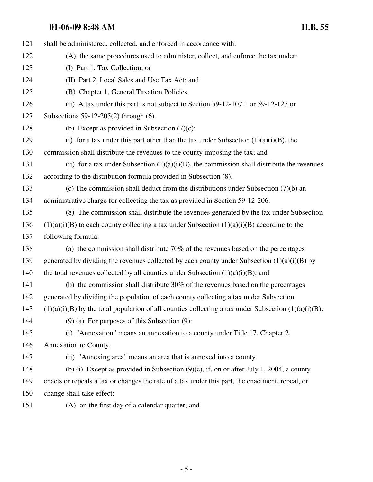## **01-06-09 8:48 AM H.B. 55**

| 121 | shall be administered, collected, and enforced in accordance with:                                        |
|-----|-----------------------------------------------------------------------------------------------------------|
| 122 | (A) the same procedures used to administer, collect, and enforce the tax under:                           |
| 123 | (I) Part 1, Tax Collection; or                                                                            |
| 124 | (II) Part 2, Local Sales and Use Tax Act; and                                                             |
| 125 | (B) Chapter 1, General Taxation Policies.                                                                 |
| 126 | (ii) A tax under this part is not subject to Section 59-12-107.1 or 59-12-123 or                          |
| 127 | Subsections $59-12-205(2)$ through (6).                                                                   |
| 128 | (b) Except as provided in Subsection $(7)(c)$ :                                                           |
| 129 | (i) for a tax under this part other than the tax under Subsection $(1)(a)(i)(B)$ , the                    |
| 130 | commission shall distribute the revenues to the county imposing the tax; and                              |
| 131 | (ii) for a tax under Subsection $(1)(a)(i)(B)$ , the commission shall distribute the revenues             |
| 132 | according to the distribution formula provided in Subsection (8).                                         |
| 133 | (c) The commission shall deduct from the distributions under Subsection $(7)(b)$ and                      |
| 134 | administrative charge for collecting the tax as provided in Section 59-12-206.                            |
| 135 | (8) The commission shall distribute the revenues generated by the tax under Subsection                    |
| 136 | $(1)(a)(i)(B)$ to each county collecting a tax under Subsection $(1)(a)(i)(B)$ according to the           |
| 137 | following formula:                                                                                        |
| 138 | (a) the commission shall distribute $70\%$ of the revenues based on the percentages                       |
| 139 | generated by dividing the revenues collected by each county under Subsection $(1)(a)(i)(B)$ by            |
| 140 | the total revenues collected by all counties under Subsection $(1)(a)(i)(B)$ ; and                        |
| 141 | (b) the commission shall distribute $30\%$ of the revenues based on the percentages                       |
| 142 | generated by dividing the population of each county collecting a tax under Subsection                     |
| 143 | $(1)(a)(i)(B)$ by the total population of all counties collecting a tax under Subsection $(1)(a)(i)(B)$ . |
| 144 | $(9)$ (a) For purposes of this Subsection $(9)$ :                                                         |
| 145 | (i) "Annexation" means an annexation to a county under Title 17, Chapter 2,                               |
| 146 | Annexation to County.                                                                                     |
| 147 | (ii) "Annexing area" means an area that is annexed into a county.                                         |
| 148 | (b) (i) Except as provided in Subsection $(9)(c)$ , if, on or after July 1, 2004, a county                |
| 149 | enacts or repeals a tax or changes the rate of a tax under this part, the enactment, repeal, or           |
| 150 | change shall take effect:                                                                                 |
| 151 | (A) on the first day of a calendar quarter; and                                                           |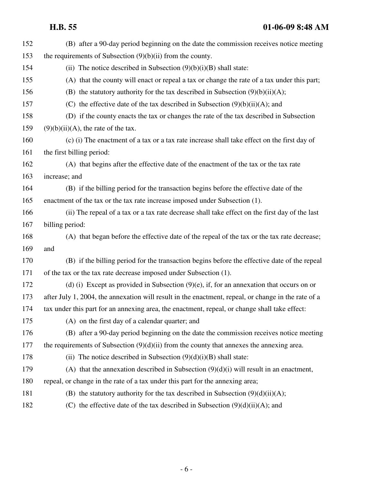**H.B. 55 01-06-09 8:48 AM**

| 152 | (B) after a 90-day period beginning on the date the commission receives notice meeting              |
|-----|-----------------------------------------------------------------------------------------------------|
| 153 | the requirements of Subsection $(9)(b)(ii)$ from the county.                                        |
| 154 | (ii) The notice described in Subsection $(9)(b)(i)(B)$ shall state:                                 |
| 155 | (A) that the county will enact or repeal a tax or change the rate of a tax under this part;         |
| 156 | (B) the statutory authority for the tax described in Subsection $(9)(b)(ii)(A)$ ;                   |
| 157 | (C) the effective date of the tax described in Subsection $(9)(b)(ii)(A)$ ; and                     |
| 158 | (D) if the county enacts the tax or changes the rate of the tax described in Subsection             |
| 159 | $(9)(b)(ii)(A)$ , the rate of the tax.                                                              |
| 160 | (c) (i) The enactment of a tax or a tax rate increase shall take effect on the first day of         |
| 161 | the first billing period:                                                                           |
| 162 | (A) that begins after the effective date of the enactment of the tax or the tax rate                |
| 163 | increase; and                                                                                       |
| 164 | (B) if the billing period for the transaction begins before the effective date of the               |
| 165 | enactment of the tax or the tax rate increase imposed under Subsection (1).                         |
| 166 | (ii) The repeal of a tax or a tax rate decrease shall take effect on the first day of the last      |
| 167 | billing period:                                                                                     |
| 168 | (A) that began before the effective date of the repeal of the tax or the tax rate decrease;         |
| 169 | and                                                                                                 |
| 170 | (B) if the billing period for the transaction begins before the effective date of the repeal        |
| 171 | of the tax or the tax rate decrease imposed under Subsection (1).                                   |
| 172 | (d) (i) Except as provided in Subsection $(9)(e)$ , if, for an annexation that occurs on or         |
| 173 | after July 1, 2004, the annexation will result in the enactment, repeal, or change in the rate of a |
| 174 | tax under this part for an annexing area, the enactment, repeal, or change shall take effect:       |
| 175 | (A) on the first day of a calendar quarter; and                                                     |
| 176 | (B) after a 90-day period beginning on the date the commission receives notice meeting              |
| 177 | the requirements of Subsection $(9)(d)(ii)$ from the county that annexes the annexing area.         |
| 178 | (ii) The notice described in Subsection $(9)(d)(i)(B)$ shall state:                                 |
| 179 | (A) that the annexation described in Subsection $(9)(d)(i)$ will result in an enactment,            |
| 180 | repeal, or change in the rate of a tax under this part for the annexing area;                       |
| 181 | (B) the statutory authority for the tax described in Subsection $(9)(d)(ii)(A)$ ;                   |
| 182 | (C) the effective date of the tax described in Subsection $(9)(d)(ii)(A)$ ; and                     |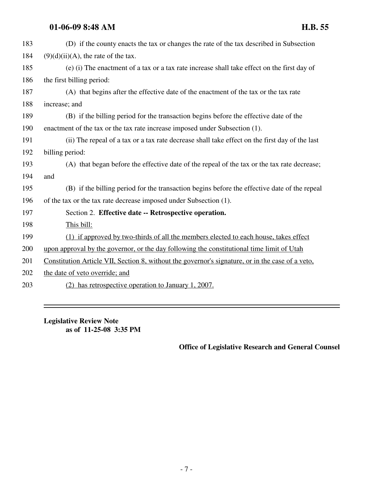### **01-06-09 8:48 AM H.B. 55**

| 183 | (D) if the county enacts the tax or changes the rate of the tax described in Subsection                 |
|-----|---------------------------------------------------------------------------------------------------------|
| 184 | $(9)(d)(ii)(A)$ , the rate of the tax.                                                                  |
| 185 | (e) (i) The enactment of a tax or a tax rate increase shall take effect on the first day of             |
| 186 | the first billing period:                                                                               |
| 187 | (A) that begins after the effective date of the enactment of the tax or the tax rate                    |
| 188 | increase; and                                                                                           |
| 189 | (B) if the billing period for the transaction begins before the effective date of the                   |
| 190 | enactment of the tax or the tax rate increase imposed under Subsection (1).                             |
| 191 | (ii) The repeal of a tax or a tax rate decrease shall take effect on the first day of the last          |
| 192 | billing period:                                                                                         |
| 193 | (A) that began before the effective date of the repeal of the tax or the tax rate decrease;             |
| 194 | and                                                                                                     |
| 195 | (B) if the billing period for the transaction begins before the effective date of the repeal            |
| 196 | of the tax or the tax rate decrease imposed under Subsection (1).                                       |
| 197 | Section 2. Effective date -- Retrospective operation.                                                   |
| 198 | This bill:                                                                                              |
| 199 | (1) if approved by two-thirds of all the members elected to each house, takes effect                    |
| 200 | upon approval by the governor, or the day following the constitutional time limit of Utah               |
| 201 | <u>Constitution Article VII, Section 8, without the governor's signature, or in the case of a veto,</u> |
| 202 | the date of veto override; and                                                                          |
| 203 | (2) has retrospective operation to January 1, 2007.                                                     |

**Legislative Review Note as of 11-25-08 3:35 PM**

### **Office of Legislative Research and General Counsel**